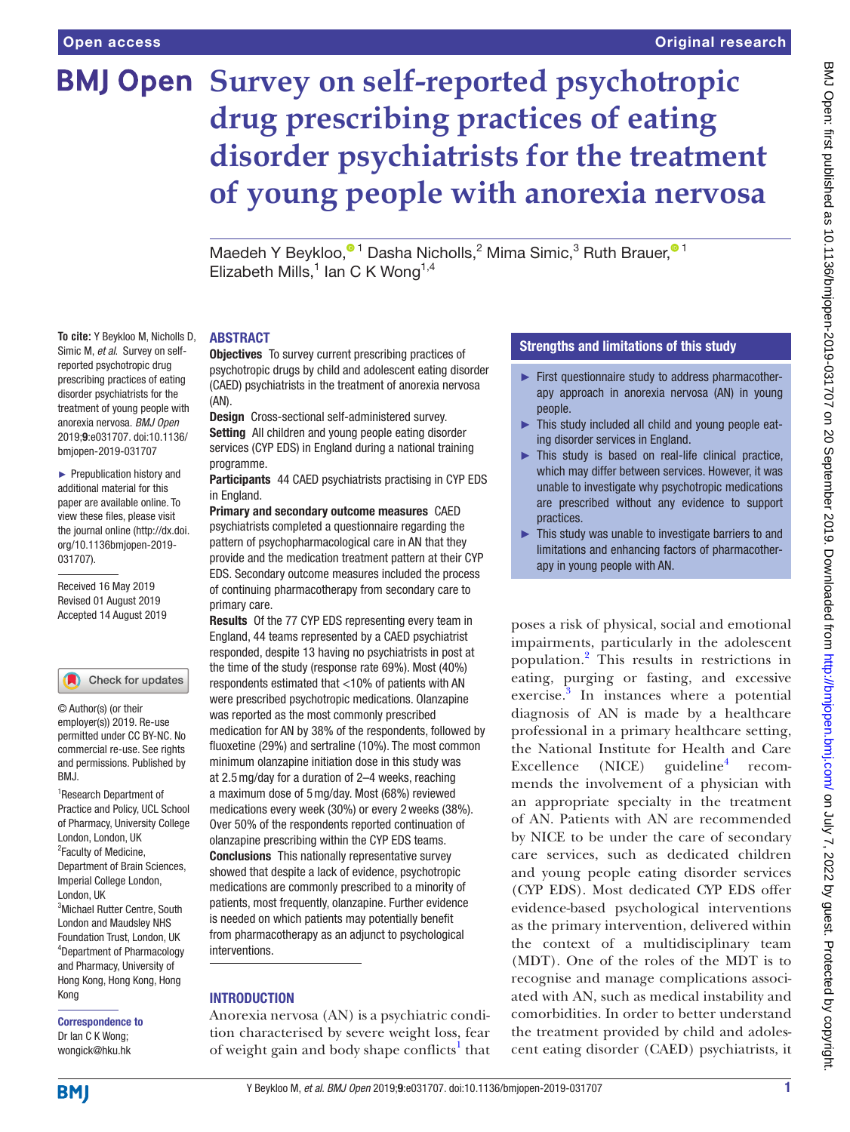**To cite:** Y Beykloo M, Nicholls D, Simic M, *et al*. Survey on selfreported psychotropic drug prescribing practices of eating disorder psychiatrists for the treatment of young people with anorexia nervosa. *BMJ Open* 2019;9:e031707. doi:10.1136/ bmjopen-2019-031707 ► Prepublication history and additional material for this paper are available online. To view these files, please visit the journal online (http://dx.doi. org/10.1136bmjopen-2019-

031707).

Received 16 May 2019 Revised 01 August 2019 Accepted 14 August 2019

1 Research Department of Practice and Policy, UCL School of Pharmacy, University College London, London, UK <sup>2</sup> Faculty of Medicine, Department of Brain Sciences, Imperial College London,

© Author(s) (or their employer(s)) 2019. Re-use permitted under CC BY-NC. No commercial re-use. See rights and permissions. Published by

Check for updates

<sup>3</sup>Michael Rutter Centre, South London and Maudsley NHS Foundation Trust, London, UK 4 Department of Pharmacology and Pharmacy, University of Hong Kong, Hong Kong, Hong

# **BMJ Open** Survey on self-reported psychotropic **drug prescribing practices of eating disorder psychiatrists for the treatment of young people with anorexia nervosa**

Maedeh Y Beykloo[,](http://orcid.org/0000-0001-8934-347X)<sup>® 1</sup> Dasha Nicholls,<sup>2</sup> Mima Simic,<sup>3</sup> Ruth Brauer,<sup>® 1</sup> Elizabeth Mills, $1$  lan C K Wong<sup>1,4</sup>

#### **ABSTRACT**

**Objectives** To survey current prescribing practices of psychotropic drugs by child and adolescent eating disorder (CAED) psychiatrists in the treatment of anorexia nervosa (AN).

Design Cross-sectional self-administered survey. Setting All children and young people eating disorder services (CYP EDS) in England during a national training programme.

Participants 44 CAED psychiatrists practising in CYP EDS in England.

Primary and secondary outcome measures CAED psychiatrists completed a questionnaire regarding the pattern of psychopharmacological care in AN that they provide and the medication treatment pattern at their CYP EDS. Secondary outcome measures included the process of continuing pharmacotherapy from secondary care to primary care.

Results Of the 77 CYP EDS representing every team in England, 44 teams represented by a CAED psychiatrist responded, despite 13 having no psychiatrists in post at the time of the study (response rate 69%). Most (40%) respondents estimated that <10% of patients with AN were prescribed psychotropic medications. Olanzapine was reported as the most commonly prescribed medication for AN by 38% of the respondents, followed by fluoxetine (29%) and sertraline (10%). The most common minimum olanzapine initiation dose in this study was at 2.5mg/day for a duration of 2–4 weeks, reaching a maximum dose of 5mg/day. Most (68%) reviewed medications every week (30%) or every 2weeks (38%). Over 50% of the respondents reported continuation of olanzapine prescribing within the CYP EDS teams. Conclusions This nationally representative survey showed that despite a lack of evidence, psychotropic medications are commonly prescribed to a minority of patients, most frequently, olanzapine. Further evidence is needed on which patients may potentially benefit from pharmacotherapy as an adjunct to psychological interventions.

#### **INTRODUCTION**

Anorexia nervosa (AN) is a psychiatric condition characterised by severe weight loss, fear of weight gain and body shape conflicts<sup>[1](#page-4-0)</sup> that

### Strengths and limitations of this study

- ► First questionnaire study to address pharmacotherapy approach in anorexia nervosa (AN) in young people.
- ► This study included all child and young people eating disorder services in England.
- This study is based on real-life clinical practice, which may differ between services. However, it was unable to investigate why psychotropic medications are prescribed without any evidence to support practices.
- ► This study was unable to investigate barriers to and limitations and enhancing factors of pharmacotherapy in young people with AN.

poses a risk of physical, social and emotional impairments, particularly in the adolescent population.[2](#page-4-1) This results in restrictions in eating, purging or fasting, and excessive exercise.<sup>[3](#page-4-2)</sup> In instances where a potential diagnosis of AN is made by a healthcare professional in a primary healthcare setting, the National Institute for Health and Care  $\text{Execute}$  (NICE) guideline<sup>[4](#page-4-3)</sup> recommends the involvement of a physician with an appropriate specialty in the treatment of AN. Patients with AN are recommended by NICE to be under the care of secondary care services, such as dedicated children and young people eating disorder services (CYP EDS). Most dedicated CYP EDS offer evidence-based psychological interventions as the primary intervention, delivered within the context of a multidisciplinary team (MDT). One of the roles of the MDT is to recognise and manage complications associated with AN, such as medical instability and comorbidities. In order to better understand the treatment provided by child and adolescent eating disorder (CAED) psychiatrists, it

**BMI** 

Kong

Correspondence to Dr Ian C K Wong; wongick@hku.hk

London, UK

BMJ.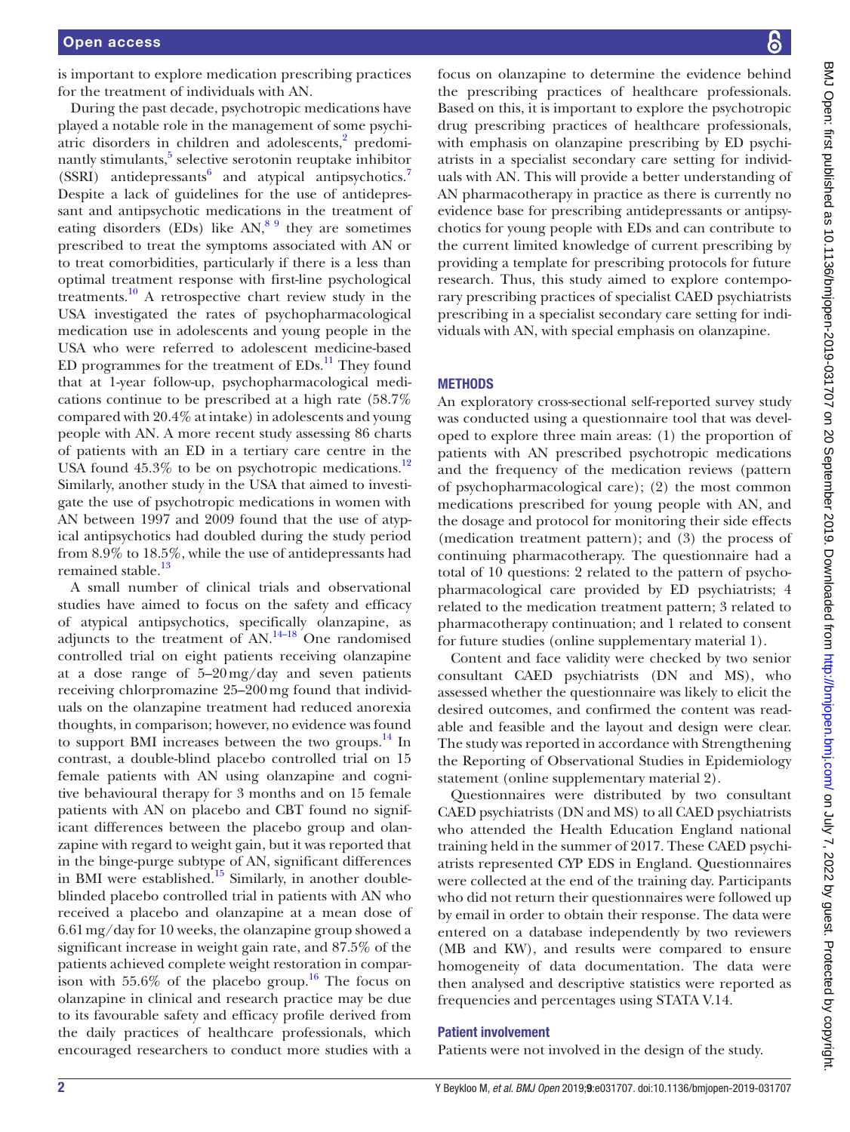is important to explore medication prescribing practices for the treatment of individuals with AN.

During the past decade, psychotropic medications have played a notable role in the management of some psychi-atric disorders in children and adolescents,<sup>[2](#page-4-1)</sup> predominantly stimulants,<sup>5</sup> selective serotonin reuptake inhibitor (SSRI) antidepressants<sup>[6](#page-4-5)</sup> and atypical antipsychotics.<sup>[7](#page-5-0)</sup> Despite a lack of guidelines for the use of antidepressant and antipsychotic medications in the treatment of eating disorders (EDs) like  $AN<sup>89</sup>$  they are sometimes prescribed to treat the symptoms associated with AN or to treat comorbidities, particularly if there is a less than optimal treatment response with first-line psychological treatments.[10](#page-5-2) A retrospective chart review study in the USA investigated the rates of psychopharmacological medication use in adolescents and young people in the USA who were referred to adolescent medicine-based ED programmes for the treatment of  $EDs$ <sup>11</sup>. They found that at 1-year follow-up, psychopharmacological medications continue to be prescribed at a high rate (58.7% compared with 20.4% at intake) in adolescents and young people with AN. A more recent study assessing 86 charts of patients with an ED in a tertiary care centre in the USA found  $45.3\%$  to be on psychotropic medications.<sup>12</sup> Similarly, another study in the USA that aimed to investigate the use of psychotropic medications in women with AN between 1997 and 2009 found that the use of atypical antipsychotics had doubled during the study period from 8.9% to 18.5%, while the use of antidepressants had remained stable.<sup>[13](#page-5-5)</sup>

A small number of clinical trials and observational studies have aimed to focus on the safety and efficacy of atypical antipsychotics, specifically olanzapine, as adjuncts to the treatment of  $AN<sup>14–18</sup>$  $AN<sup>14–18</sup>$  $AN<sup>14–18</sup>$  One randomised controlled trial on eight patients receiving olanzapine at a dose range of 5–20mg/day and seven patients receiving chlorpromazine 25–200mg found that individuals on the olanzapine treatment had reduced anorexia thoughts, in comparison; however, no evidence was found to support BMI increases between the two groups.<sup>14</sup> In contrast, a double-blind placebo controlled trial on 15 female patients with AN using olanzapine and cognitive behavioural therapy for 3 months and on 15 female patients with AN on placebo and CBT found no significant differences between the placebo group and olanzapine with regard to weight gain, but it was reported that in the binge-purge subtype of AN, significant differences in BMI were established.<sup>[15](#page-5-7)</sup> Similarly, in another doubleblinded placebo controlled trial in patients with AN who received a placebo and olanzapine at a mean dose of 6.61mg/day for 10 weeks, the olanzapine group showed a significant increase in weight gain rate, and 87.5% of the patients achieved complete weight restoration in comparison with  $55.6\%$  of the placebo group.<sup>16</sup> The focus on olanzapine in clinical and research practice may be due to its favourable safety and efficacy profile derived from the daily practices of healthcare professionals, which encouraged researchers to conduct more studies with a

focus on olanzapine to determine the evidence behind the prescribing practices of healthcare professionals. Based on this, it is important to explore the psychotropic drug prescribing practices of healthcare professionals, with emphasis on olanzapine prescribing by ED psychiatrists in a specialist secondary care setting for individuals with AN. This will provide a better understanding of AN pharmacotherapy in practice as there is currently no evidence base for prescribing antidepressants or antipsychotics for young people with EDs and can contribute to the current limited knowledge of current prescribing by providing a template for prescribing protocols for future research. Thus, this study aimed to explore contemporary prescribing practices of specialist CAED psychiatrists prescribing in a specialist secondary care setting for individuals with AN, with special emphasis on olanzapine.

## **METHODS**

An exploratory cross-sectional self-reported survey study was conducted using a questionnaire tool that was developed to explore three main areas: (1) the proportion of patients with AN prescribed psychotropic medications and the frequency of the medication reviews (pattern of psychopharmacological care); (2) the most common medications prescribed for young people with AN, and the dosage and protocol for monitoring their side effects (medication treatment pattern); and (3) the process of continuing pharmacotherapy. The questionnaire had a total of 10 questions: 2 related to the pattern of psychopharmacological care provided by ED psychiatrists; 4 related to the medication treatment pattern; 3 related to pharmacotherapy continuation; and 1 related to consent for future studies ([online supplementary material 1\)](https://dx.doi.org/10.1136/bmjopen-2019-031707).

Content and face validity were checked by two senior consultant CAED psychiatrists (DN and MS), who assessed whether the questionnaire was likely to elicit the desired outcomes, and confirmed the content was readable and feasible and the layout and design were clear. The study was reported in accordance with Strengthening the Reporting of Observational Studies in Epidemiology statement [\(online supplementary material 2](https://dx.doi.org/10.1136/bmjopen-2019-031707)).

Questionnaires were distributed by two consultant CAED psychiatrists (DN and MS) to all CAED psychiatrists who attended the Health Education England national training held in the summer of 2017. These CAED psychiatrists represented CYP EDS in England. Questionnaires were collected at the end of the training day. Participants who did not return their questionnaires were followed up by email in order to obtain their response. The data were entered on a database independently by two reviewers (MB and KW), and results were compared to ensure homogeneity of data documentation. The data were then analysed and descriptive statistics were reported as frequencies and percentages using STATA V.14.

#### Patient involvement

Patients were not involved in the design of the study.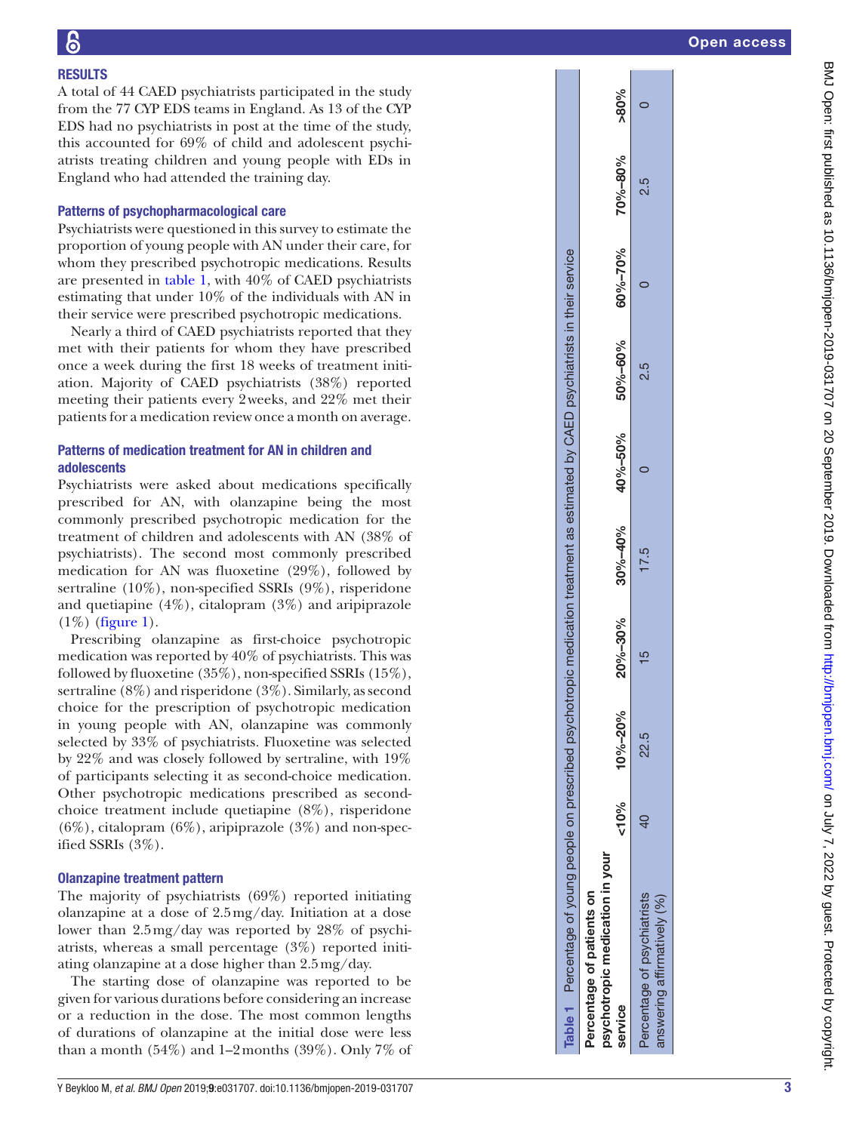## **RESULTS**

A total of 44 CAED psychiatrists participated in the study from the 77 CYP EDS teams in England. As 13 of the CYP EDS had no psychiatrists in post at the time of the study, this accounted for 69% of child and adolescent psychi atrists treating children and young people with EDs in England who had attended the training day.

### Patterns of psychopharmacological care

Psychiatrists were questioned in this survey to estimate the proportion of young people with AN under their care, for whom they prescribed psychotropic medications. Results are presented in [table](#page-2-0) 1, with 40% of CAED psychiatrists estimating that under 10% of the individuals with AN in their service were prescribed psychotropic medications.

Nearly a third of CAED psychiatrists reported that they met with their patients for whom they have prescribed once a week during the first 18 weeks of treatment initi ation. Majority of CAED psychiatrists (38%) reported meeting their patients every 2weeks, and 22% met their patients for a medication review once a month on average.

## Patterns of medication treatment for A N in children and adolescents

Psychiatrists were asked about medications specifically prescribed for AN, with olanzapine being the most commonly prescribed psychotropic medication for the treatment of children and adolescents with AN (38% of psychiatrists). The second most commonly prescribed medication for AN was fluoxetine (29%), followed by sertraline (10%), non-specified SSRIs (9%), risperidone and quetiapine (4%), citalopram (3%) and aripiprazole (1%) [\(figure](#page-3-0) 1).

Prescribing olanzapine as first-choice psychotropic medication was reported by 40% of psychiatrists. This was followed by fluoxetine (35%), non-specified SSRIs (15%), sertraline (8%) and risperidone (3%). Similarly, as second choice for the prescription of psychotropic medication in young people with AN, olanzapine was commonly selected by 33% of psychiatrists. Fluoxetine was selected by 22% and was closely followed by sertraline, with 19% of participants selecting it as second-choice medication. Other psychotropic medications prescribed as secondchoice treatment include quetiapine (8%), risperidone  $(6\%)$ , citalopram  $(6\%)$ , aripiprazole  $(3\%)$  and non-specified SSRIs (3%).

## Olanzapine treatment pattern

The majority of psychiatrists (69%) reported initiating olanzapine at a dose of 2.5mg/day. Initiation at a dose lower than 2.5 mg/day was reported by 28% of psychiatrists, whereas a small percentage (3%) reported initi ating olanzapine at a dose higher than 2.5mg/day.

<span id="page-2-0"></span>The starting dose of olanzapine was reported to be given for various durations before considering an increase or a reduction in the dose. The most common lengths of durations of olanzapine at the initial dose were less than a month  $(54\%)$  and 1–2months  $(39\%)$ . Only 7% of

| Table 1 Percentage of young people on prescribed psy        |              |               |               | ychotropic medication treatment as estimated by CAED psychiatrists in their service |                             |     |                 |                              |  |
|-------------------------------------------------------------|--------------|---------------|---------------|-------------------------------------------------------------------------------------|-----------------------------|-----|-----------------|------------------------------|--|
| psychotropic medication in your<br>ercentage of patients on |              |               |               |                                                                                     |                             |     |                 |                              |  |
| service                                                     | < 10%        | $10\% - 20\%$ | 20%-30%       |                                                                                     | $30\% - 40\% - 40\% - 50\%$ |     | 50%-60% 60%-70% | $\frac{96}{200\%}$ -80% -80% |  |
| Percentage of psychiatrists<br>answering affirmatively (%)  | $\mathsf{d}$ | 22.5          | $\frac{5}{1}$ | 17.5                                                                                |                             | 2.5 |                 | 2.5                          |  |

 $>80%$  $\circ$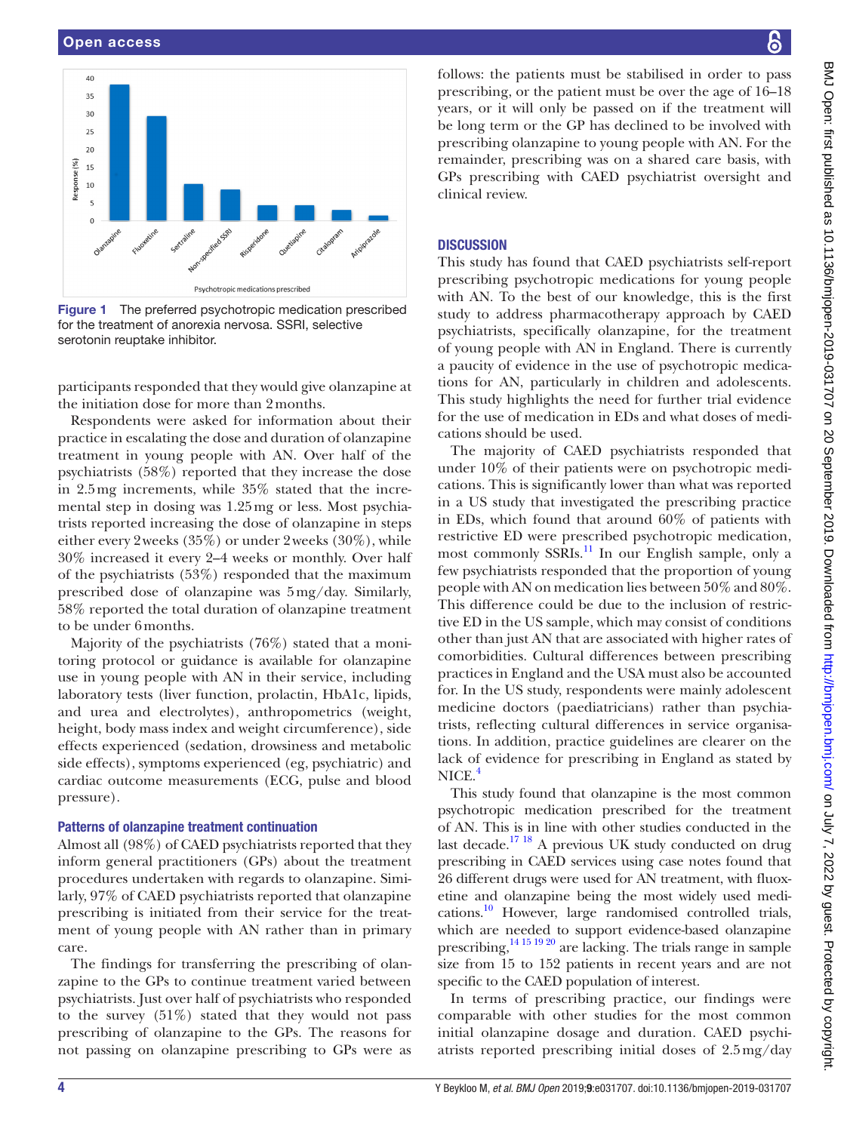

<span id="page-3-0"></span>Figure 1 The preferred psychotropic medication prescribed for the treatment of anorexia nervosa. SSRI, selective serotonin reuptake inhibitor.

participants responded that they would give olanzapine at the initiation dose for more than 2months.

Respondents were asked for information about their practice in escalating the dose and duration of olanzapine treatment in young people with AN. Over half of the psychiatrists (58%) reported that they increase the dose in 2.5mg increments, while 35% stated that the incremental step in dosing was 1.25mg or less. Most psychiatrists reported increasing the dose of olanzapine in steps either every 2weeks (35%) or under 2weeks (30%), while 30% increased it every 2–4 weeks or monthly. Over half of the psychiatrists (53%) responded that the maximum prescribed dose of olanzapine was 5mg/day. Similarly, 58% reported the total duration of olanzapine treatment to be under 6months.

Majority of the psychiatrists (76%) stated that a monitoring protocol or guidance is available for olanzapine use in young people with AN in their service, including laboratory tests (liver function, prolactin, HbA1c, lipids, and urea and electrolytes), anthropometrics (weight, height, body mass index and weight circumference), side effects experienced (sedation, drowsiness and metabolic side effects), symptoms experienced (eg, psychiatric) and cardiac outcome measurements (ECG, pulse and blood pressure).

#### Patterns of olanzapine treatment continuation

Almost all (98%) of CAED psychiatrists reported that they inform general practitioners (GPs) about the treatment procedures undertaken with regards to olanzapine. Similarly, 97% of CAED psychiatrists reported that olanzapine prescribing is initiated from their service for the treatment of young people with AN rather than in primary care.

The findings for transferring the prescribing of olanzapine to the GPs to continue treatment varied between psychiatrists. Just over half of psychiatrists who responded to the survey  $(51\%)$  stated that they would not pass prescribing of olanzapine to the GPs. The reasons for not passing on olanzapine prescribing to GPs were as

follows: the patients must be stabilised in order to pass prescribing, or the patient must be over the age of 16–18 years, or it will only be passed on if the treatment will be long term or the GP has declined to be involved with prescribing olanzapine to young people with AN. For the remainder, prescribing was on a shared care basis, with GPs prescribing with CAED psychiatrist oversight and clinical review.

#### **DISCUSSION**

This study has found that CAED psychiatrists self-report prescribing psychotropic medications for young people with AN. To the best of our knowledge, this is the first study to address pharmacotherapy approach by CAED psychiatrists, specifically olanzapine, for the treatment of young people with AN in England. There is currently a paucity of evidence in the use of psychotropic medications for AN, particularly in children and adolescents. This study highlights the need for further trial evidence for the use of medication in EDs and what doses of medications should be used.

The majority of CAED psychiatrists responded that under 10% of their patients were on psychotropic medications. This is significantly lower than what was reported in a US study that investigated the prescribing practice in EDs, which found that around 60% of patients with restrictive ED were prescribed psychotropic medication, most commonly SSRIs.<sup>11</sup> In our English sample, only a few psychiatrists responded that the proportion of young people with AN on medication lies between 50% and 80%. This difference could be due to the inclusion of restrictive ED in the US sample, which may consist of conditions other than just AN that are associated with higher rates of comorbidities. Cultural differences between prescribing practices in England and the USA must also be accounted for. In the US study, respondents were mainly adolescent medicine doctors (paediatricians) rather than psychiatrists, reflecting cultural differences in service organisations. In addition, practice guidelines are clearer on the lack of evidence for prescribing in England as stated by NICE.<sup>[4](#page-4-3)</sup>

This study found that olanzapine is the most common psychotropic medication prescribed for the treatment of AN. This is in line with other studies conducted in the last decade.<sup>17 18</sup> A previous UK study conducted on drug prescribing in CAED services using case notes found that 26 different drugs were used for AN treatment, with fluoxetine and olanzapine being the most widely used medications[.10](#page-5-2) However, large randomised controlled trials, which are needed to support evidence-based olanzapine prescribing, $14151920$  are lacking. The trials range in sample size from 15 to 152 patients in recent years and are not specific to the CAED population of interest.

In terms of prescribing practice, our findings were comparable with other studies for the most common initial olanzapine dosage and duration. CAED psychiatrists reported prescribing initial doses of 2.5mg/day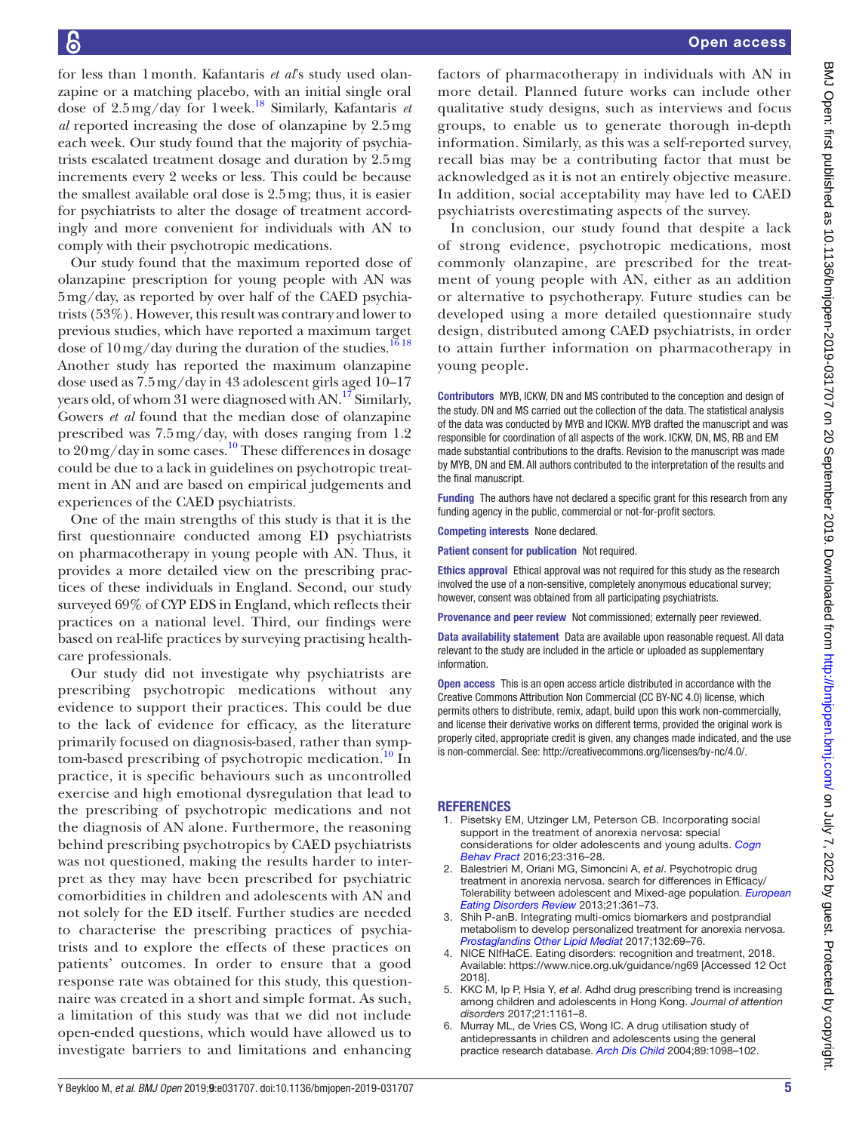for less than 1month. Kafantaris *et al*'s study used olanzapine or a matching placebo, with an initial single oral dose of 2.5mg/day for 1week.[18](#page-5-10) Similarly, Kafantaris *et al* reported increasing the dose of olanzapine by 2.5mg each week. Our study found that the majority of psychiatrists escalated treatment dosage and duration by 2.5mg increments every 2 weeks or less. This could be because the smallest available oral dose is 2.5mg; thus, it is easier for psychiatrists to alter the dosage of treatment accordingly and more convenient for individuals with AN to comply with their psychotropic medications.

Our study found that the maximum reported dose of olanzapine prescription for young people with AN was 5mg/day, as reported by over half of the CAED psychiatrists (53%). However, this result was contrary and lower to previous studies, which have reported a maximum target dose of  $10 \,\mathrm{mg}/\mathrm{day}$  during the duration of the studies.<sup>[16 18](#page-5-8)</sup> Another study has reported the maximum olanzapine dose used as 7.5mg/day in 43 adolescent girls aged 10–17 years old, of whom 31 were diagnosed with AN.<sup>17</sup> Similarly, Gowers *et al* found that the median dose of olanzapine prescribed was 7.5mg/day, with doses ranging from 1.2 to 20mg/day in some cases.[10](#page-5-2) These differences in dosage could be due to a lack in guidelines on psychotropic treatment in AN and are based on empirical judgements and experiences of the CAED psychiatrists.

One of the main strengths of this study is that it is the first questionnaire conducted among ED psychiatrists on pharmacotherapy in young people with AN. Thus, it provides a more detailed view on the prescribing practices of these individuals in England. Second, our study surveyed 69% of CYP EDS in England, which reflects their practices on a national level. Third, our findings were based on real-life practices by surveying practising healthcare professionals.

Our study did not investigate why psychiatrists are prescribing psychotropic medications without any evidence to support their practices. This could be due to the lack of evidence for efficacy, as the literature primarily focused on diagnosis-based, rather than symptom-based prescribing of psychotropic medication.<sup>10</sup> In practice, it is specific behaviours such as uncontrolled exercise and high emotional dysregulation that lead to the prescribing of psychotropic medications and not the diagnosis of AN alone. Furthermore, the reasoning behind prescribing psychotropics by CAED psychiatrists was not questioned, making the results harder to interpret as they may have been prescribed for psychiatric comorbidities in children and adolescents with AN and not solely for the ED itself. Further studies are needed to characterise the prescribing practices of psychiatrists and to explore the effects of these practices on patients' outcomes. In order to ensure that a good response rate was obtained for this study, this questionnaire was created in a short and simple format. As such, a limitation of this study was that we did not include open-ended questions, which would have allowed us to investigate barriers to and limitations and enhancing

factors of pharmacotherapy in individuals with AN in more detail. Planned future works can include other qualitative study designs, such as interviews and focus groups, to enable us to generate thorough in-depth information. Similarly, as this was a self-reported survey, recall bias may be a contributing factor that must be acknowledged as it is not an entirely objective measure. In addition, social acceptability may have led to CAED psychiatrists overestimating aspects of the survey.

In conclusion, our study found that despite a lack of strong evidence, psychotropic medications, most commonly olanzapine, are prescribed for the treatment of young people with AN, either as an addition or alternative to psychotherapy. Future studies can be developed using a more detailed questionnaire study design, distributed among CAED psychiatrists, in order to attain further information on pharmacotherapy in young people.

Contributors MYB, ICKW, DN and MS contributed to the conception and design of the study. DN and MS carried out the collection of the data. The statistical analysis of the data was conducted by MYB and ICKW. MYB drafted the manuscript and was responsible for coordination of all aspects of the work. ICKW, DN, MS, RB and EM made substantial contributions to the drafts. Revision to the manuscript was made by MYB, DN and EM. All authors contributed to the interpretation of the results and the final manuscript.

Funding The authors have not declared a specific grant for this research from any funding agency in the public, commercial or not-for-profit sectors.

Competing interests None declared.

Patient consent for publication Not required.

Ethics approval Ethical approval was not required for this study as the research involved the use of a non-sensitive, completely anonymous educational survey; however, consent was obtained from all participating psychiatrists.

Provenance and peer review Not commissioned; externally peer reviewed.

Data availability statement Data are available upon reasonable request. All data relevant to the study are included in the article or uploaded as supplementary information.

Open access This is an open access article distributed in accordance with the Creative Commons Attribution Non Commercial (CC BY-NC 4.0) license, which permits others to distribute, remix, adapt, build upon this work non-commercially, and license their derivative works on different terms, provided the original work is properly cited, appropriate credit is given, any changes made indicated, and the use is non-commercial. See: [http://creativecommons.org/licenses/by-nc/4.0/.](http://creativecommons.org/licenses/by-nc/4.0/)

#### **REFERENCES**

- <span id="page-4-0"></span>1. Pisetsky EM, Utzinger LM, Peterson CB. Incorporating social support in the treatment of anorexia nervosa: special considerations for older adolescents and young adults. *[Cogn](http://dx.doi.org/10.1016/j.cbpra.2015.09.002)  [Behav Pract](http://dx.doi.org/10.1016/j.cbpra.2015.09.002)* 2016;23:316–28.
- <span id="page-4-1"></span>2. Balestrieri M, Oriani MG, Simoncini A, *et al*. Psychotropic drug treatment in anorexia nervosa. search for differences in Efficacy/ Tolerability between adolescent and Mixed-age population. *[European](http://dx.doi.org/10.1002/erv.2240)  [Eating Disorders Review](http://dx.doi.org/10.1002/erv.2240)* 2013;21:361–73.
- <span id="page-4-2"></span>3. Shih P-anB. Integrating multi-omics biomarkers and postprandial metabolism to develop personalized treatment for anorexia nervosa. *[Prostaglandins Other Lipid Mediat](http://dx.doi.org/10.1016/j.prostaglandins.2017.02.002)* 2017;132:69–76.
- <span id="page-4-3"></span>4. NICE NIfHaCE. Eating disorders: recognition and treatment, 2018. Available: <https://www.nice.org.uk/guidance/ng69>[Accessed 12 Oct 2018].
- <span id="page-4-4"></span>5. KKC M, Ip P, Hsia Y, *et al*. Adhd drug prescribing trend is increasing among children and adolescents in Hong Kong. *Journal of attention disorders* 2017;21:1161–8.
- <span id="page-4-5"></span>6. Murray ML, de Vries CS, Wong IC. A drug utilisation study of antidepressants in children and adolescents using the general practice research database. *[Arch Dis Child](http://dx.doi.org/10.1136/adc.2004.064956)* 2004;89:1098–102.